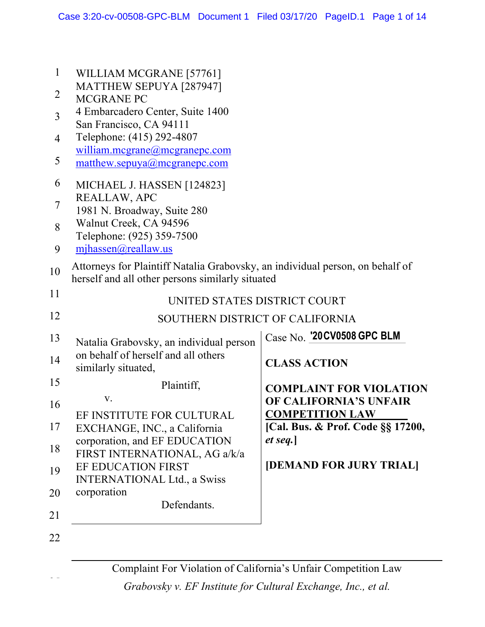1

WILLIAM MCGRANE [57761]

25

| 2              | <b>MATTHEW SEPUYA [287947]</b><br><b>MCGRANE PC</b>                                                                               |                                              |
|----------------|-----------------------------------------------------------------------------------------------------------------------------------|----------------------------------------------|
| $\overline{3}$ | 4 Embarcadero Center, Suite 1400                                                                                                  |                                              |
| $\overline{4}$ | San Francisco, CA 94111<br>Telephone: (415) 292-4807                                                                              |                                              |
|                | william.mcgrane@mcgranepc.com                                                                                                     |                                              |
| 5              | matthew.sepuya@mcgranepc.com                                                                                                      |                                              |
| 6              | MICHAEL J. HASSEN [124823]                                                                                                        |                                              |
| 7              | REALLAW, APC<br>1981 N. Broadway, Suite 280                                                                                       |                                              |
| 8              | Walnut Creek, CA 94596                                                                                                            |                                              |
|                | Telephone: (925) 359-7500                                                                                                         |                                              |
| 9              | mjhassen@reallaw.us                                                                                                               |                                              |
| 10             | Attorneys for Plaintiff Natalia Grabovsky, an individual person, on behalf of<br>herself and all other persons similarly situated |                                              |
| 11             | UNITED STATES DISTRICT COURT                                                                                                      |                                              |
| 12             | SOUTHERN DISTRICT OF CALIFORNIA                                                                                                   |                                              |
| 13             |                                                                                                                                   | Case No. '20 CV0508 GPC BLM                  |
| 14             | Natalia Grabovsky, an individual person<br>on behalf of herself and all others                                                    |                                              |
|                | similarly situated,                                                                                                               | <b>CLASS ACTION</b>                          |
| 15             | Plaintiff,                                                                                                                        | <b>COMPLAINT FOR VIOLATION</b>               |
| 16             | V.                                                                                                                                | OF CALIFORNIA'S UNFAIR                       |
| 17             | EF INSTITUTE FOR CULTURAL                                                                                                         | <b>COMPETITION LAW</b>                       |
|                | EXCHANGE, INC., a California<br>corporation, and EF EDUCATION                                                                     | [Cal. Bus. & Prof. Code §§ 17200,<br>et seq. |
| 18             | FIRST INTERNATIONAL, AG a/k/a                                                                                                     |                                              |
| 19             | EF EDUCATION FIRST                                                                                                                | [DEMAND FOR JURY TRIAL]                      |
|                | <b>INTERNATIONAL Ltd., a Swiss</b><br>corporation                                                                                 |                                              |
| 20             | Defendants.                                                                                                                       |                                              |
| 21             |                                                                                                                                   |                                              |
| 22             |                                                                                                                                   |                                              |
|                |                                                                                                                                   |                                              |

Complaint For Violation of California's Unfair Competition Law

*Grabovsky v. EF Institute for Cultural Exchange, Inc., et al.*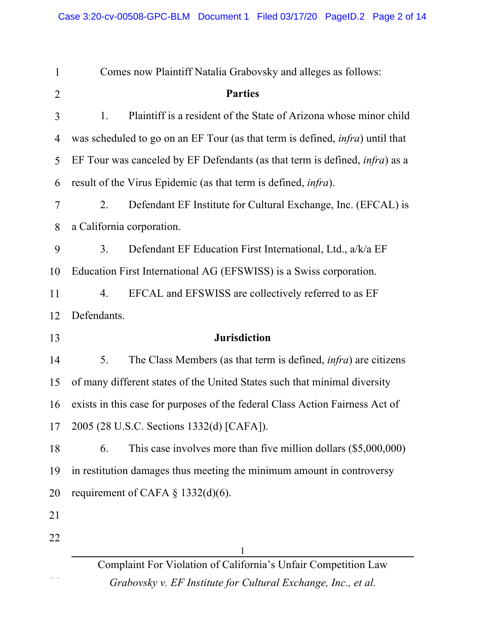| $\mathbf{1}$   | Comes now Plaintiff Natalia Grabovsky and alleges as follows:                         |  |
|----------------|---------------------------------------------------------------------------------------|--|
| $\overline{2}$ | <b>Parties</b>                                                                        |  |
| 3              | Plaintiff is a resident of the State of Arizona whose minor child<br>1.               |  |
| 4              | was scheduled to go on an EF Tour (as that term is defined, <i>infra</i> ) until that |  |
| 5              | EF Tour was canceled by EF Defendants (as that term is defined, <i>infra</i> ) as a   |  |
| 6              | result of the Virus Epidemic (as that term is defined, <i>infra</i> ).                |  |
| 7              | Defendant EF Institute for Cultural Exchange, Inc. (EFCAL) is<br>2.                   |  |
| 8              | a California corporation.                                                             |  |
| 9              | Defendant EF Education First International, Ltd., a/k/a EF<br>3.                      |  |
| 10             | Education First International AG (EFSWISS) is a Swiss corporation.                    |  |
| 11             | EFCAL and EFSWISS are collectively referred to as EF<br>4.                            |  |
| 12             | Defendants.                                                                           |  |
| 13             | <b>Jurisdiction</b>                                                                   |  |
| 14             | The Class Members (as that term is defined, <i>infra</i> ) are citizens<br>5.         |  |
| 15             | of many different states of the United States such that minimal diversity             |  |
| 16             | exists in this case for purposes of the federal Class Action Fairness Act of          |  |
| 17             | 2005 (28 U.S.C. Sections 1332(d) [CAFA]).                                             |  |
| 18             | This case involves more than five million dollars $(\$5,000,000)$<br>6.               |  |
| 19             | in restitution damages thus meeting the minimum amount in controversy                 |  |
| 20             | requirement of CAFA $\S$ 1332(d)(6).                                                  |  |
| 21             |                                                                                       |  |
| 22             |                                                                                       |  |
|                | Complaint For Violation of California's Unfair Competition Law                        |  |
|                |                                                                                       |  |

*Grabovsky v. EF Institute for Cultural Exchange, Inc., et al.*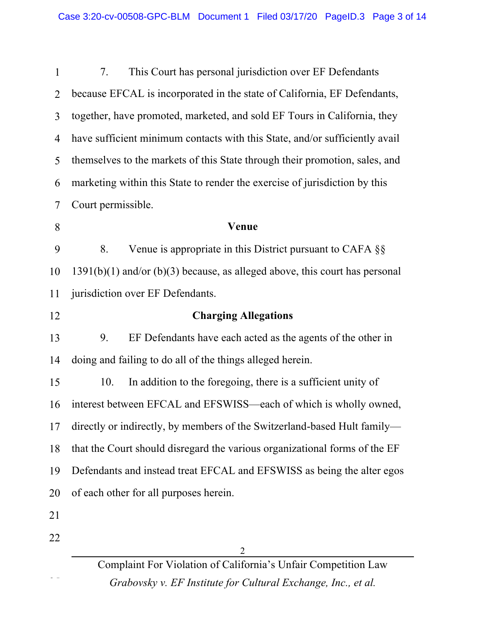| $\mathbf{1}$ | This Court has personal jurisdiction over EF Defendants<br>7.                 |  |
|--------------|-------------------------------------------------------------------------------|--|
| 2            | because EFCAL is incorporated in the state of California, EF Defendants,      |  |
| 3            | together, have promoted, marketed, and sold EF Tours in California, they      |  |
| 4            | have sufficient minimum contacts with this State, and/or sufficiently avail   |  |
| 5            | themselves to the markets of this State through their promotion, sales, and   |  |
| 6            | marketing within this State to render the exercise of jurisdiction by this    |  |
| 7            | Court permissible.                                                            |  |
| 8            | Venue                                                                         |  |
| 9            | 8.<br>Venue is appropriate in this District pursuant to CAFA $\S$             |  |
| 10           | $1391(b)(1)$ and/or (b)(3) because, as alleged above, this court has personal |  |
| 11           | jurisdiction over EF Defendants.                                              |  |
| 12           | <b>Charging Allegations</b>                                                   |  |
| 13           | 9.<br>EF Defendants have each acted as the agents of the other in             |  |
| 14           | doing and failing to do all of the things alleged herein.                     |  |
| 15           | 10.<br>In addition to the foregoing, there is a sufficient unity of           |  |
| 16           | interest between EFCAL and EFSWISS—each of which is wholly owned,             |  |
| 17           | directly or indirectly, by members of the Switzerland-based Hult family-      |  |
| 18           | that the Court should disregard the various organizational forms of the EF    |  |
| 19           | Defendants and instead treat EFCAL and EFSWISS as being the alter egos        |  |
| 20           | of each other for all purposes herein.                                        |  |
| 21           |                                                                               |  |
| 22           |                                                                               |  |
|              |                                                                               |  |

Complaint For Violation of California's Unfair Competition Law *Grabovsky v. EF Institute for Cultural Exchange, Inc., et al.*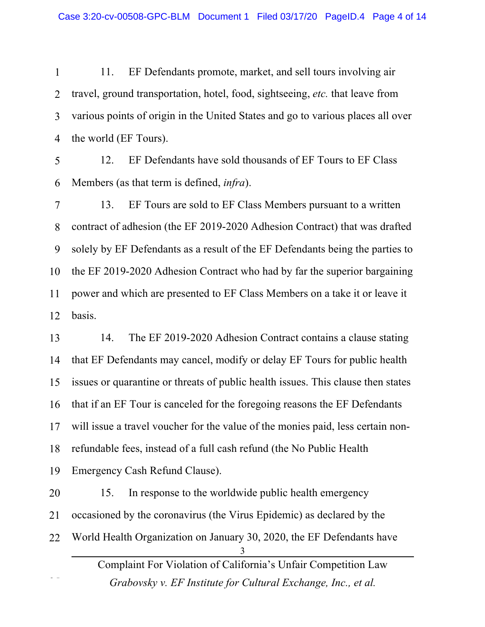1 2 3 4 11. EF Defendants promote, market, and sell tours involving air travel, ground transportation, hotel, food, sightseeing, *etc.* that leave from various points of origin in the United States and go to various places all over the world (EF Tours).

5 6 12. EF Defendants have sold thousands of EF Tours to EF Class Members (as that term is defined, *infra*).

7 8 9 10 11 12 13. EF Tours are sold to EF Class Members pursuant to a written contract of adhesion (the EF 2019-2020 Adhesion Contract) that was drafted solely by EF Defendants as a result of the EF Defendants being the parties to the EF 2019-2020 Adhesion Contract who had by far the superior bargaining power and which are presented to EF Class Members on a take it or leave it basis.

13 14 15 16 17 18 19 14. The EF 2019-2020 Adhesion Contract contains a clause stating that EF Defendants may cancel, modify or delay EF Tours for public health issues or quarantine or threats of public health issues. This clause then states that if an EF Tour is canceled for the foregoing reasons the EF Defendants will issue a travel voucher for the value of the monies paid, less certain nonrefundable fees, instead of a full cash refund (the No Public Health Emergency Cash Refund Clause).

Complaint For Violation of California's Unfair Competition Law *Grabovsky v. EF Institute for Cultural Exchange, Inc., et al.* 3 20 21 22 25 15. In response to the worldwide public health emergency occasioned by the coronavirus (the Virus Epidemic) as declared by the World Health Organization on January 30, 2020, the EF Defendants have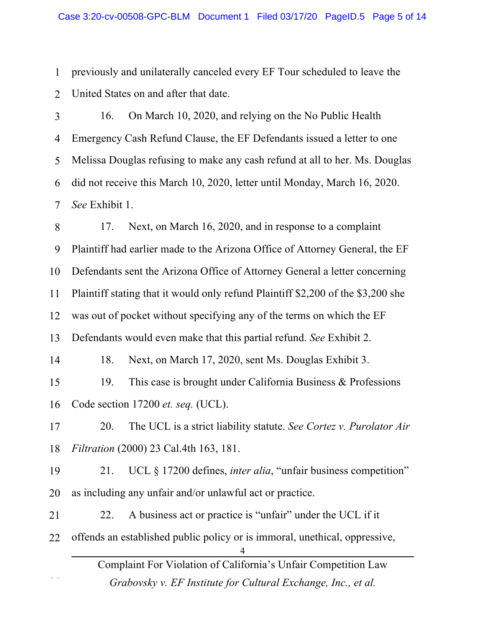1 2 previously and unilaterally canceled every EF Tour scheduled to leave the United States on and after that date.

3 4 5 6 7 16. On March 10, 2020, and relying on the No Public Health Emergency Cash Refund Clause, the EF Defendants issued a letter to one Melissa Douglas refusing to make any cash refund at all to her. Ms. Douglas did not receive this March 10, 2020, letter until Monday, March 16, 2020. *See* Exhibit 1.

Complaint For Violation of California's Unfair Competition Law *Grabovsky v. EF Institute for Cultural Exchange, Inc., et al.* 4 8 9 10 11 12 13 14 15 16 17 18 19 20 21 22 25 17. Next, on March 16, 2020, and in response to a complaint Plaintiff had earlier made to the Arizona Office of Attorney General, the EF Defendants sent the Arizona Office of Attorney General a letter concerning Plaintiff stating that it would only refund Plaintiff \$2,200 of the \$3,200 she was out of pocket without specifying any of the terms on which the EF Defendants would even make that this partial refund. *See* Exhibit 2. 18. Next, on March 17, 2020, sent Ms. Douglas Exhibit 3. 19. This case is brought under California Business & Professions Code section 17200 *et. seq.* (UCL). 20. The UCL is a strict liability statute. *See Cortez v. Purolator Air Filtration* (2000) 23 Cal.4th 163, 181. 21. UCL § 17200 defines, *inter alia*, "unfair business competition" as including any unfair and/or unlawful act or practice. 22. A business act or practice is "unfair" under the UCL if it offends an established public policy or is immoral, unethical, oppressive,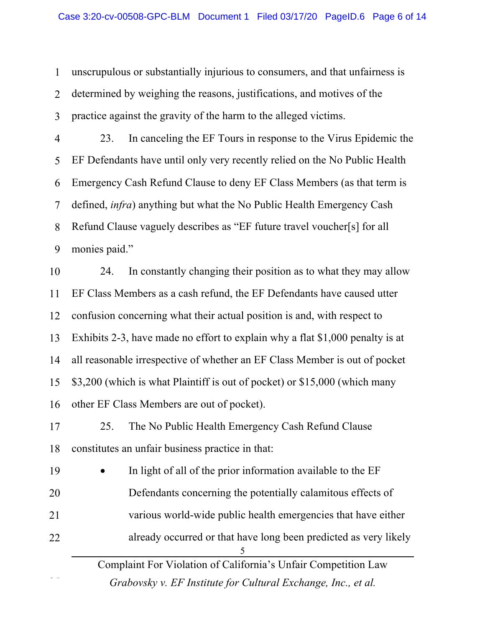1 2 3 unscrupulous or substantially injurious to consumers, and that unfairness is determined by weighing the reasons, justifications, and motives of the practice against the gravity of the harm to the alleged victims.

4 5 6 7 8 9 23. In canceling the EF Tours in response to the Virus Epidemic the EF Defendants have until only very recently relied on the No Public Health Emergency Cash Refund Clause to deny EF Class Members (as that term is defined, *infra*) anything but what the No Public Health Emergency Cash Refund Clause vaguely describes as "EF future travel voucher[s] for all monies paid."

10 11 12 13 14 15 16 24. In constantly changing their position as to what they may allow EF Class Members as a cash refund, the EF Defendants have caused utter confusion concerning what their actual position is and, with respect to Exhibits 2-3, have made no effort to explain why a flat \$1,000 penalty is at all reasonable irrespective of whether an EF Class Member is out of pocket \$3,200 (which is what Plaintiff is out of pocket) or \$15,000 (which many other EF Class Members are out of pocket).

17 18 25. The No Public Health Emergency Cash Refund Clause constitutes an unfair business practice in that:

Complaint For Violation of California's Unfair Competition Law 5 19 20 21 22 25 In light of all of the prior information available to the EF Defendants concerning the potentially calamitous effects of various world-wide public health emergencies that have either already occurred or that have long been predicted as very likely

*Grabovsky v. EF Institute for Cultural Exchange, Inc., et al.*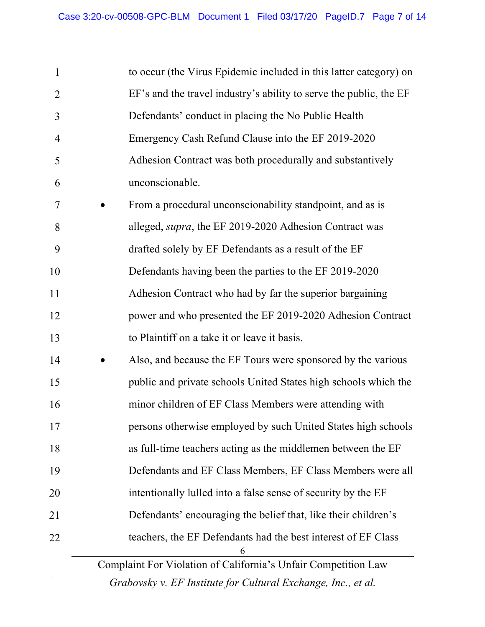| $\mathbf{1}$   | to occur (the Virus Epidemic included in this latter category) on   |
|----------------|---------------------------------------------------------------------|
| $\overline{2}$ | EF's and the travel industry's ability to serve the public, the EF  |
| 3              | Defendants' conduct in placing the No Public Health                 |
| $\overline{4}$ | Emergency Cash Refund Clause into the EF 2019-2020                  |
| 5              | Adhesion Contract was both procedurally and substantively           |
| 6              | unconscionable.                                                     |
| 7              | From a procedural unconscionability standpoint, and as is           |
| 8              | alleged, supra, the EF 2019-2020 Adhesion Contract was              |
| 9              | drafted solely by EF Defendants as a result of the EF               |
| 10             | Defendants having been the parties to the EF 2019-2020              |
| 11             | Adhesion Contract who had by far the superior bargaining            |
| 12             | power and who presented the EF 2019-2020 Adhesion Contract          |
| 13             | to Plaintiff on a take it or leave it basis.                        |
| 14             | Also, and because the EF Tours were sponsored by the various        |
| 15             | public and private schools United States high schools which the     |
| 16             | minor children of EF Class Members were attending with              |
| 17             | persons otherwise employed by such United States high schools       |
| 18             | as full-time teachers acting as the middlemen between the EF        |
| 19             | Defendants and EF Class Members, EF Class Members were all          |
| 20             | intentionally lulled into a false sense of security by the EF       |
| 21             | Defendants' encouraging the belief that, like their children's      |
| 22             | teachers, the EF Defendants had the best interest of EF Class       |
|                | 6<br>Complaint For Violation of California's Unfair Competition Law |
|                | Grabovsky v. EF Institute for Cultural Exchange, Inc., et al.       |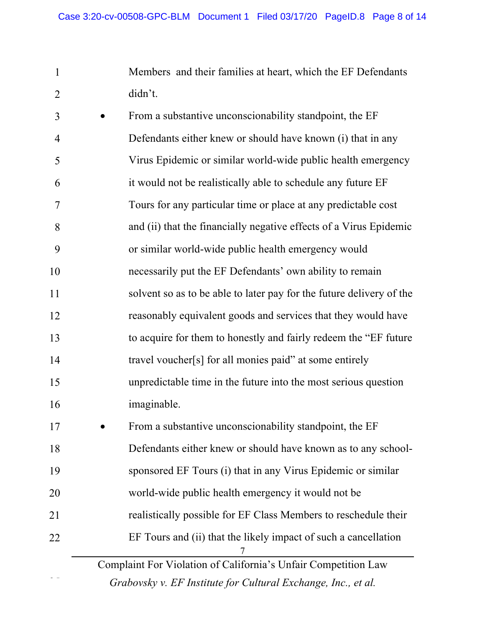1 2 Members and their families at heart, which the EF Defendants didn't.

3 4 5 6 7 8 9 10 11 12 13 14 15 16 From a substantive unconscionability standpoint, the EF Defendants either knew or should have known (i) that in any Virus Epidemic or similar world-wide public health emergency it would not be realistically able to schedule any future EF Tours for any particular time or place at any predictable cost and (ii) that the financially negative effects of a Virus Epidemic or similar world-wide public health emergency would necessarily put the EF Defendants' own ability to remain solvent so as to be able to later pay for the future delivery of the reasonably equivalent goods and services that they would have to acquire for them to honestly and fairly redeem the "EF future travel voucher[s] for all monies paid" at some entirely unpredictable time in the future into the most serious question imaginable.

Complaint For Violation of California's Unfair Competition Law 7 17 18 19 20 21 22 • From a substantive unconscionability standpoint, the EF Defendants either knew or should have known as to any schoolsponsored EF Tours (i) that in any Virus Epidemic or similar world-wide public health emergency it would not be realistically possible for EF Class Members to reschedule their EF Tours and (ii) that the likely impact of such a cancellation

*Grabovsky v. EF Institute for Cultural Exchange, Inc., et al.*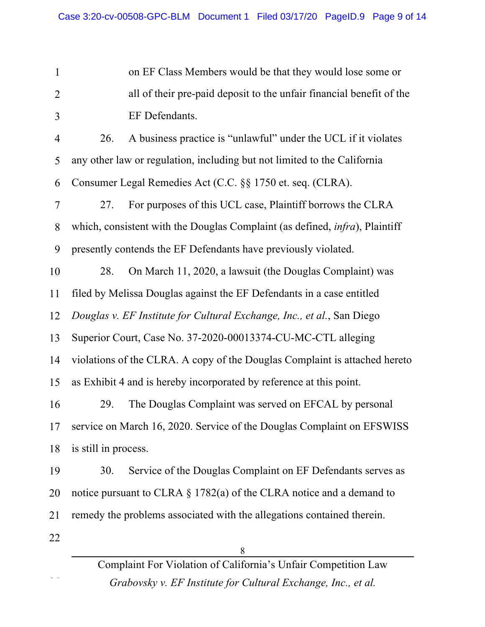1 2 3 4 5 6 7 8 9 10 11 12 13 14 on EF Class Members would be that they would lose some or all of their pre-paid deposit to the unfair financial benefit of the EF Defendants. 26. A business practice is "unlawful" under the UCL if it violates any other law or regulation, including but not limited to the California Consumer Legal Remedies Act (C.C. §§ 1750 et. seq. (CLRA). 27. For purposes of this UCL case, Plaintiff borrows the CLRA which, consistent with the Douglas Complaint (as defined, *infra*), Plaintiff presently contends the EF Defendants have previously violated. 28. On March 11, 2020, a lawsuit (the Douglas Complaint) was filed by Melissa Douglas against the EF Defendants in a case entitled *Douglas v. EF Institute for Cultural Exchange, Inc., et al.*, San Diego Superior Court, Case No. 37-2020-00013374-CU-MC-CTL alleging violations of the CLRA. A copy of the Douglas Complaint is attached hereto

15 as Exhibit 4 and is hereby incorporated by reference at this point.

16 17 18 29. The Douglas Complaint was served on EFCAL by personal service on March 16, 2020. Service of the Douglas Complaint on EFSWISS is still in process.

19 20 21 30. Service of the Douglas Complaint on EF Defendants serves as notice pursuant to CLRA § 1782(a) of the CLRA notice and a demand to remedy the problems associated with the allegations contained therein.

22

25

Complaint For Violation of California's Unfair Competition Law *Grabovsky v. EF Institute for Cultural Exchange, Inc., et al.*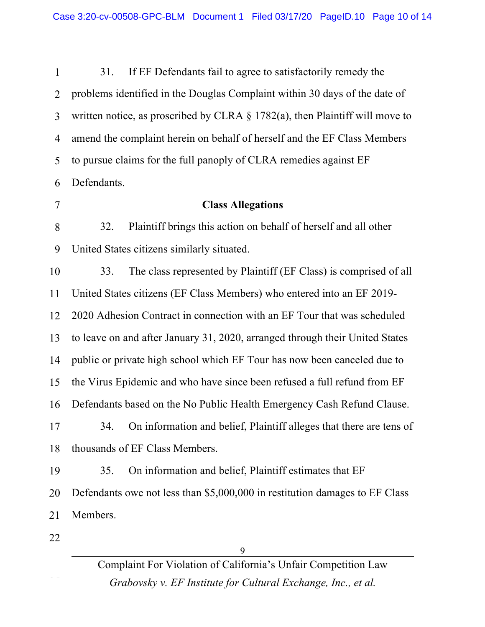| $\mathbf{1}$   | If EF Defendants fail to agree to satisfactorily remedy the<br>31.              |  |
|----------------|---------------------------------------------------------------------------------|--|
| $\overline{2}$ | problems identified in the Douglas Complaint within 30 days of the date of      |  |
| $\overline{3}$ | written notice, as proscribed by CLRA $\S$ 1782(a), then Plaintiff will move to |  |
| 4              | amend the complaint herein on behalf of herself and the EF Class Members        |  |
| 5              | to pursue claims for the full panoply of CLRA remedies against EF               |  |
| 6              | Defendants.                                                                     |  |
| $\overline{7}$ | <b>Class Allegations</b>                                                        |  |
| 8              | Plaintiff brings this action on behalf of herself and all other<br>32.          |  |
| 9              | United States citizens similarly situated.                                      |  |
| 10             | The class represented by Plaintiff (EF Class) is comprised of all<br>33.        |  |
| 11             | United States citizens (EF Class Members) who entered into an EF 2019-          |  |
| 12             | 2020 Adhesion Contract in connection with an EF Tour that was scheduled         |  |
| 13             | to leave on and after January 31, 2020, arranged through their United States    |  |
| 14             | public or private high school which EF Tour has now been canceled due to        |  |
| 15             | the Virus Epidemic and who have since been refused a full refund from EF        |  |
| 16             | Defendants based on the No Public Health Emergency Cash Refund Clause.          |  |
| 17             | On information and belief, Plaintiff alleges that there are tens of<br>34.      |  |
| 18             | thousands of EF Class Members.                                                  |  |
| 19             | On information and belief, Plaintiff estimates that EF<br>35.                   |  |
| 20             | Defendants owe not less than \$5,000,000 in restitution damages to EF Class     |  |
| 21             | Members.                                                                        |  |
| 22             |                                                                                 |  |
|                |                                                                                 |  |

Complaint For Violation of California's Unfair Competition Law *Grabovsky v. EF Institute for Cultural Exchange, Inc., et al.*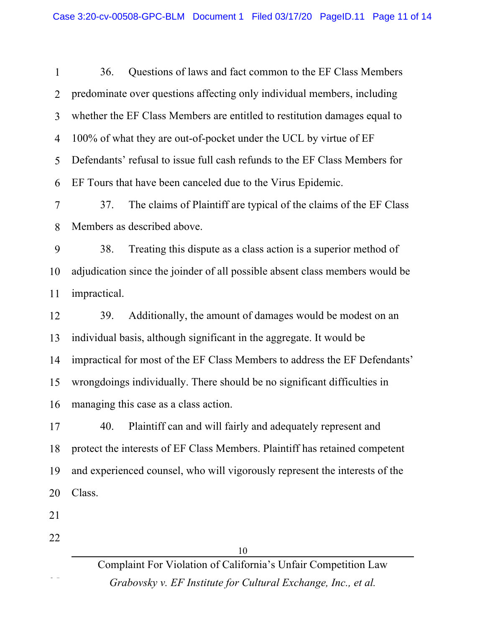| $\mathbf{1}$   | Questions of laws and fact common to the EF Class Members<br>36.             |  |  |
|----------------|------------------------------------------------------------------------------|--|--|
| $\overline{2}$ | predominate over questions affecting only individual members, including      |  |  |
| 3              | whether the EF Class Members are entitled to restitution damages equal to    |  |  |
| 4              | 100% of what they are out-of-pocket under the UCL by virtue of EF            |  |  |
| 5              | Defendants' refusal to issue full cash refunds to the EF Class Members for   |  |  |
| 6              | EF Tours that have been canceled due to the Virus Epidemic.                  |  |  |
| 7              | The claims of Plaintiff are typical of the claims of the EF Class<br>37.     |  |  |
| 8              | Members as described above.                                                  |  |  |
| 9              | Treating this dispute as a class action is a superior method of<br>38.       |  |  |
| 10             | adjudication since the joinder of all possible absent class members would be |  |  |
| 11             | impractical.                                                                 |  |  |
| 12             | Additionally, the amount of damages would be modest on an<br>39.             |  |  |
| 13             | individual basis, although significant in the aggregate. It would be         |  |  |
| 14             | impractical for most of the EF Class Members to address the EF Defendants'   |  |  |
| 15             | wrongdoings individually. There should be no significant difficulties in     |  |  |
| 16             | managing this case as a class action.                                        |  |  |
| 17             | 40.<br>Plaintiff can and will fairly and adequately represent and            |  |  |
| 18             | protect the interests of EF Class Members. Plaintiff has retained competent  |  |  |
| 19             | and experienced counsel, who will vigorously represent the interests of the  |  |  |
| 20             | Class.                                                                       |  |  |
| 21             |                                                                              |  |  |
| 22             |                                                                              |  |  |
|                | 10                                                                           |  |  |
|                | Complaint For Violation of California's Unfair Competition Law               |  |  |

*Grabovsky v. EF Institute for Cultural Exchange, Inc., et al.*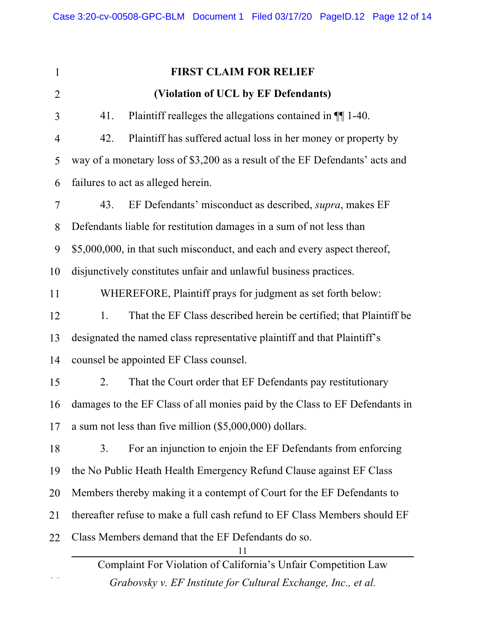Complaint For Violation of California's Unfair Competition Law 11 1 2 3 4 5 6 7 8 9 10 11 12 13 14 15 16 17 18 19 20 21 22 **FIRST CLAIM FOR RELIEF (Violation of UCL by EF Defendants)** 41. Plaintiff realleges the allegations contained in  $\P$ [1-40. 42. Plaintiff has suffered actual loss in her money or property by way of a monetary loss of \$3,200 as a result of the EF Defendants' acts and failures to act as alleged herein. 43. EF Defendants' misconduct as described, *supra*, makes EF Defendants liable for restitution damages in a sum of not less than \$5,000,000, in that such misconduct, and each and every aspect thereof, disjunctively constitutes unfair and unlawful business practices. WHEREFORE, Plaintiff prays for judgment as set forth below: 1. That the EF Class described herein be certified; that Plaintiff be designated the named class representative plaintiff and that Plaintiff's counsel be appointed EF Class counsel. 2. That the Court order that EF Defendants pay restitutionary damages to the EF Class of all monies paid by the Class to EF Defendants in a sum not less than five million (\$5,000,000) dollars. 3. For an injunction to enjoin the EF Defendants from enforcing the No Public Heath Health Emergency Refund Clause against EF Class Members thereby making it a contempt of Court for the EF Defendants to thereafter refuse to make a full cash refund to EF Class Members should EF Class Members demand that the EF Defendants do so.

*Grabovsky v. EF Institute for Cultural Exchange, Inc., et al.*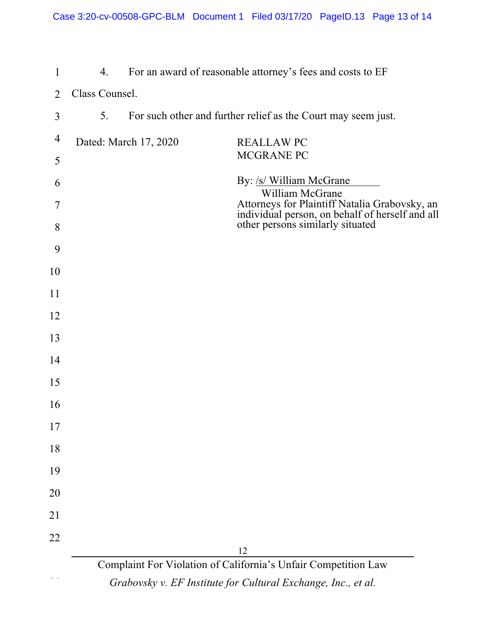| Class Counsel.<br>2<br>For such other and further relief as the Court may seem just.<br>5.<br>3<br>4<br>Dated: March 17, 2020<br><b>REALLAW PC</b><br>MCGRANE PC<br>5<br>By: /s/ William McGrane<br>6<br>William McGrane<br>Attorneys for Plaintiff Natalia Grabovsky, an<br>individual person, on behalf of herself and all<br>other persons similarly situated<br>7<br>8<br>9<br>10<br>11<br>12<br>13<br>14<br>15<br>16 |
|---------------------------------------------------------------------------------------------------------------------------------------------------------------------------------------------------------------------------------------------------------------------------------------------------------------------------------------------------------------------------------------------------------------------------|
|                                                                                                                                                                                                                                                                                                                                                                                                                           |
|                                                                                                                                                                                                                                                                                                                                                                                                                           |
|                                                                                                                                                                                                                                                                                                                                                                                                                           |
|                                                                                                                                                                                                                                                                                                                                                                                                                           |
|                                                                                                                                                                                                                                                                                                                                                                                                                           |
|                                                                                                                                                                                                                                                                                                                                                                                                                           |
|                                                                                                                                                                                                                                                                                                                                                                                                                           |
|                                                                                                                                                                                                                                                                                                                                                                                                                           |
|                                                                                                                                                                                                                                                                                                                                                                                                                           |
|                                                                                                                                                                                                                                                                                                                                                                                                                           |
|                                                                                                                                                                                                                                                                                                                                                                                                                           |
|                                                                                                                                                                                                                                                                                                                                                                                                                           |
|                                                                                                                                                                                                                                                                                                                                                                                                                           |
|                                                                                                                                                                                                                                                                                                                                                                                                                           |
| 17                                                                                                                                                                                                                                                                                                                                                                                                                        |
| 18                                                                                                                                                                                                                                                                                                                                                                                                                        |
| 19                                                                                                                                                                                                                                                                                                                                                                                                                        |
| 20                                                                                                                                                                                                                                                                                                                                                                                                                        |
| 21                                                                                                                                                                                                                                                                                                                                                                                                                        |
| 22                                                                                                                                                                                                                                                                                                                                                                                                                        |
| 12                                                                                                                                                                                                                                                                                                                                                                                                                        |
| Complaint For Violation of California's Unfair Competition Law<br>Grabovsky v. EF Institute for Cultural Exchange, Inc., et al.                                                                                                                                                                                                                                                                                           |